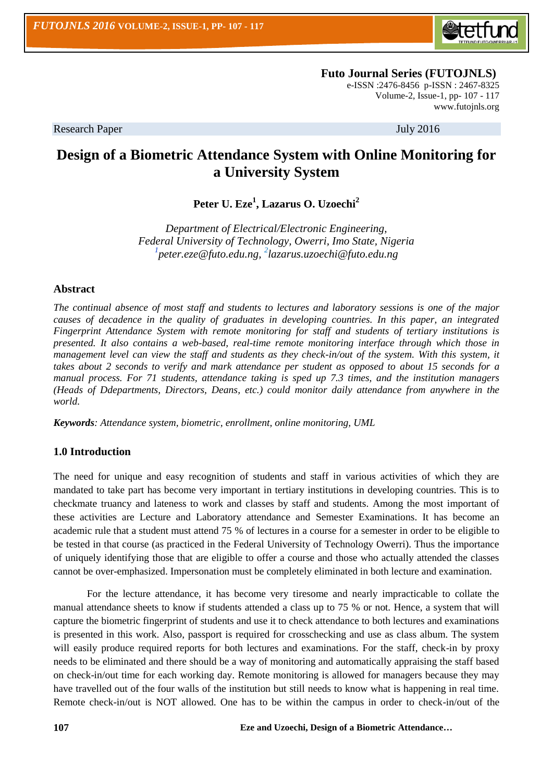

 **Futo Journal Series (FUTOJNLS)** e-ISSN :2476-8456 p-ISSN : 2467-8325 Volume-2, Issue-1, pp- 107 - 117 [www.futojnls.org](http://www.futojnls.org/)

Research Paper July 2016

# **Design of a Biometric Attendance System with Online Monitoring for a University System**

**Peter U. Eze<sup>1</sup> , Lazarus O. Uzoechi<sup>2</sup>**

*Department of Electrical/Electronic Engineering, Federal University of Technology, Owerri, Imo State, Nigeria 1 [peter.eze@futo.edu.ng,](mailto:peter.eze@futo.edu.ng) 2 lazarus.uzoechi@futo.edu.ng*

# **Abstract**

*The continual absence of most staff and students to lectures and laboratory sessions is one of the major causes of decadence in the quality of graduates in developing countries. In this paper, an integrated Fingerprint Attendance System with remote monitoring for staff and students of tertiary institutions is presented. It also contains a web-based, real-time remote monitoring interface through which those in management level can view the staff and students as they check-in/out of the system. With this system, it takes about 2 seconds to verify and mark attendance per student as opposed to about 15 seconds for a manual process. For 71 students, attendance taking is sped up 7.3 times, and the institution managers (Heads of Ddepartments, Directors, Deans, etc.) could monitor daily attendance from anywhere in the world.*

*Keywords: Attendance system, biometric, enrollment, online monitoring, UML*

# **1.0 Introduction**

The need for unique and easy recognition of students and staff in various activities of which they are mandated to take part has become very important in tertiary institutions in developing countries. This is to checkmate truancy and lateness to work and classes by staff and students. Among the most important of these activities are Lecture and Laboratory attendance and Semester Examinations. It has become an academic rule that a student must attend 75 % of lectures in a course for a semester in order to be eligible to be tested in that course (as practiced in the Federal University of Technology Owerri). Thus the importance of uniquely identifying those that are eligible to offer a course and those who actually attended the classes cannot be over-emphasized. Impersonation must be completely eliminated in both lecture and examination.

For the lecture attendance, it has become very tiresome and nearly impracticable to collate the manual attendance sheets to know if students attended a class up to 75 % or not. Hence, a system that will capture the biometric fingerprint of students and use it to check attendance to both lectures and examinations is presented in this work. Also, passport is required for crosschecking and use as class album. The system will easily produce required reports for both lectures and examinations. For the staff, check-in by proxy needs to be eliminated and there should be a way of monitoring and automatically appraising the staff based on check-in/out time for each working day. Remote monitoring is allowed for managers because they may have travelled out of the four walls of the institution but still needs to know what is happening in real time. Remote check-in/out is NOT allowed. One has to be within the campus in order to check-in/out of the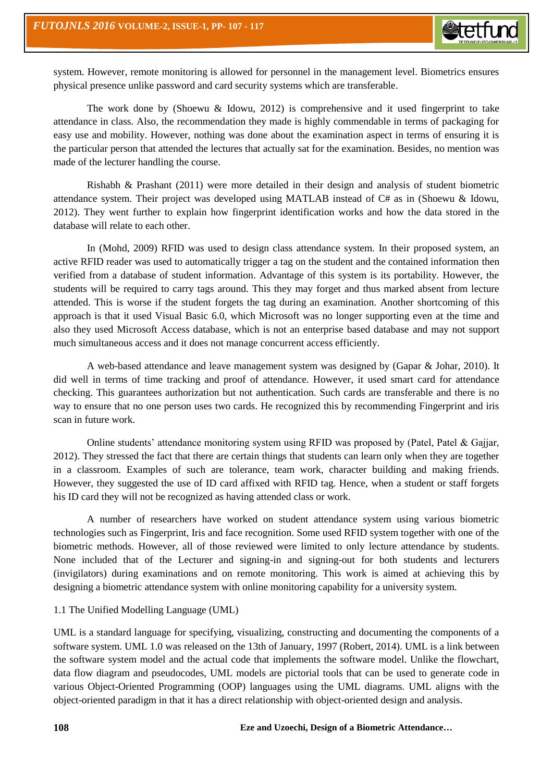system. However, remote monitoring is allowed for personnel in the management level. Biometrics ensures physical presence unlike password and card security systems which are transferable.

The work done by (Shoewu & Idowu, 2012) is comprehensive and it used fingerprint to take attendance in class. Also, the recommendation they made is highly commendable in terms of packaging for easy use and mobility. However, nothing was done about the examination aspect in terms of ensuring it is the particular person that attended the lectures that actually sat for the examination. Besides, no mention was made of the lecturer handling the course.

Rishabh & Prashant (2011) were more detailed in their design and analysis of student biometric attendance system. Their project was developed using MATLAB instead of C# as in (Shoewu & Idowu, 2012). They went further to explain how fingerprint identification works and how the data stored in the database will relate to each other.

In (Mohd, 2009) RFID was used to design class attendance system. In their proposed system, an active RFID reader was used to automatically trigger a tag on the student and the contained information then verified from a database of student information. Advantage of this system is its portability. However, the students will be required to carry tags around. This they may forget and thus marked absent from lecture attended. This is worse if the student forgets the tag during an examination. Another shortcoming of this approach is that it used Visual Basic 6.0, which Microsoft was no longer supporting even at the time and also they used Microsoft Access database, which is not an enterprise based database and may not support much simultaneous access and it does not manage concurrent access efficiently.

A web-based attendance and leave management system was designed by (Gapar & Johar, 2010). It did well in terms of time tracking and proof of attendance. However, it used smart card for attendance checking. This guarantees authorization but not authentication. Such cards are transferable and there is no way to ensure that no one person uses two cards. He recognized this by recommending Fingerprint and iris scan in future work.

Online students' attendance monitoring system using RFID was proposed by (Patel, Patel & Gajjar, 2012). They stressed the fact that there are certain things that students can learn only when they are together in a classroom. Examples of such are tolerance, team work, character building and making friends. However, they suggested the use of ID card affixed with RFID tag. Hence, when a student or staff forgets his ID card they will not be recognized as having attended class or work.

A number of researchers have worked on student attendance system using various biometric technologies such as Fingerprint, Iris and face recognition. Some used RFID system together with one of the biometric methods. However, all of those reviewed were limited to only lecture attendance by students. None included that of the Lecturer and signing-in and signing-out for both students and lecturers (invigilators) during examinations and on remote monitoring. This work is aimed at achieving this by designing a biometric attendance system with online monitoring capability for a university system.

## 1.1 The Unified Modelling Language (UML)

UML is a standard language for specifying, visualizing, constructing and documenting the components of a software system. UML 1.0 was released on the 13th of January, 1997 (Robert, 2014). UML is a link between the software system model and the actual code that implements the software model. Unlike the flowchart, data flow diagram and pseudocodes, UML models are pictorial tools that can be used to generate code in various Object-Oriented Programming (OOP) languages using the UML diagrams. UML aligns with the object-oriented paradigm in that it has a direct relationship with object-oriented design and analysis.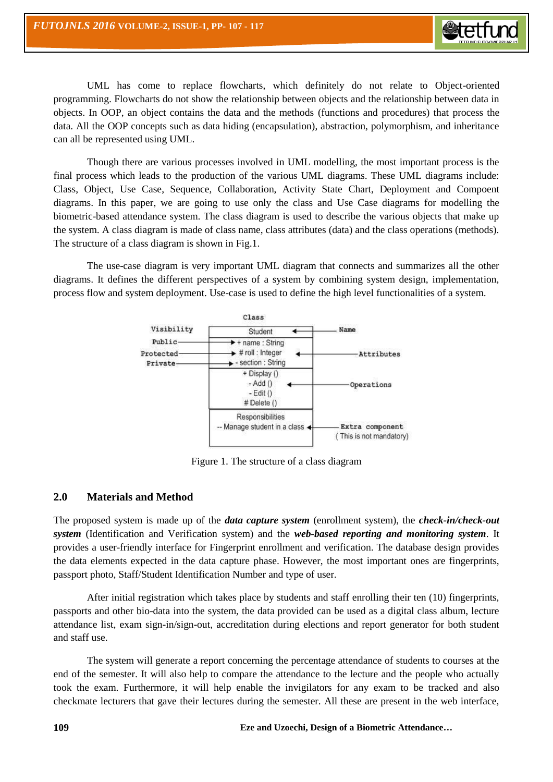

UML has come to replace flowcharts, which definitely do not relate to Object-oriented programming. Flowcharts do not show the relationship between objects and the relationship between data in objects. In OOP, an object contains the data and the methods (functions and procedures) that process the data. All the OOP concepts such as data hiding (encapsulation), abstraction, polymorphism, and inheritance can all be represented using UML.

Though there are various processes involved in UML modelling, the most important process is the final process which leads to the production of the various UML diagrams. These UML diagrams include: Class, Object, Use Case, Sequence, Collaboration, Activity State Chart, Deployment and Compoent diagrams. In this paper, we are going to use only the class and Use Case diagrams for modelling the biometric-based attendance system. The class diagram is used to describe the various objects that make up the system. A class diagram is made of class name, class attributes (data) and the class operations (methods). The structure of a class diagram is shown in Fig.1.

The use-case diagram is very important UML diagram that connects and summarizes all the other diagrams. It defines the different perspectives of a system by combining system design, implementation, process flow and system deployment. Use-case is used to define the high level functionalities of a system.



Figure 1. The structure of a class diagram

# **2.0 Materials and Method**

The proposed system is made up of the *data capture system* (enrollment system), the *check-in/check-out system* (Identification and Verification system) and the *web-based reporting and monitoring system*. It provides a user-friendly interface for Fingerprint enrollment and verification. The database design provides the data elements expected in the data capture phase. However, the most important ones are fingerprints, passport photo, Staff/Student Identification Number and type of user.

After initial registration which takes place by students and staff enrolling their ten (10) fingerprints, passports and other bio-data into the system, the data provided can be used as a digital class album, lecture attendance list, exam sign-in/sign-out, accreditation during elections and report generator for both student and staff use.

The system will generate a report concerning the percentage attendance of students to courses at the end of the semester. It will also help to compare the attendance to the lecture and the people who actually took the exam. Furthermore, it will help enable the invigilators for any exam to be tracked and also checkmate lecturers that gave their lectures during the semester. All these are present in the web interface,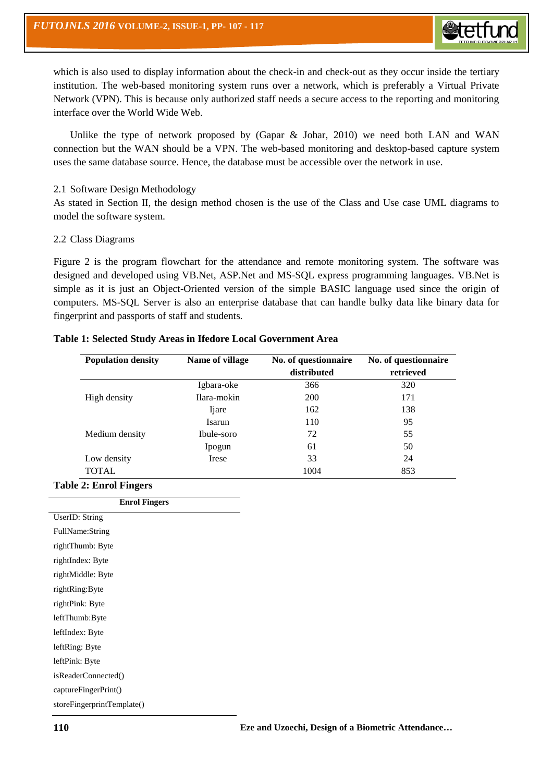

which is also used to display information about the check-in and check-out as they occur inside the tertiary institution. The web-based monitoring system runs over a network, which is preferably a Virtual Private Network (VPN). This is because only authorized staff needs a secure access to the reporting and monitoring interface over the World Wide Web.

Unlike the type of network proposed by (Gapar & Johar, 2010) we need both LAN and WAN connection but the WAN should be a VPN. The web-based monitoring and desktop-based capture system uses the same database source. Hence, the database must be accessible over the network in use.

## 2.1 Software Design Methodology

As stated in Section II, the design method chosen is the use of the Class and Use case UML diagrams to model the software system.

#### 2.2 Class Diagrams

Figure 2 is the program flowchart for the attendance and remote monitoring system. The software was designed and developed using VB.Net, ASP.Net and MS-SQL express programming languages. VB.Net is simple as it is just an Object-Oriented version of the simple BASIC language used since the origin of computers. MS-SQL Server is also an enterprise database that can handle bulky data like binary data for fingerprint and passports of staff and students.

#### **Table 1: Selected Study Areas in Ifedore Local Government Area**

| <b>Population density</b> | Name of village | No. of questionnaire | No. of questionnaire |
|---------------------------|-----------------|----------------------|----------------------|
|                           |                 | distributed          | retrieved            |
|                           | Igbara-oke      | 366                  | 320                  |
| High density              | Ilara-mokin     | <b>200</b>           | 171                  |
|                           | Ijare           | 162                  | 138                  |
|                           | Isarun          | 110                  | 95                   |
| Medium density            | Ibule-soro      | 72                   | 55                   |
|                           | Ipogun          | 61                   | 50                   |
| Low density               | Irese           | 33                   | 24                   |
| TOTAL                     |                 | 1004                 | 853                  |

#### **Table 2: Enrol Fingers**

| <b>Enrol Fingers</b>       |
|----------------------------|
| UserID: String             |
| FullName:String            |
| rightThumb: Byte           |
| rightIndex: Byte           |
| rightMiddle: Byte          |
| rightRing:Byte             |
| rightPink: Byte            |
| leftThumb:Byte             |
| leftIndex: Byte            |
| leftRing: Byte             |
| leftPink: Byte             |
| isReaderConnected()        |
| captureFingerPrint()       |
| storeFingerprintTemplate() |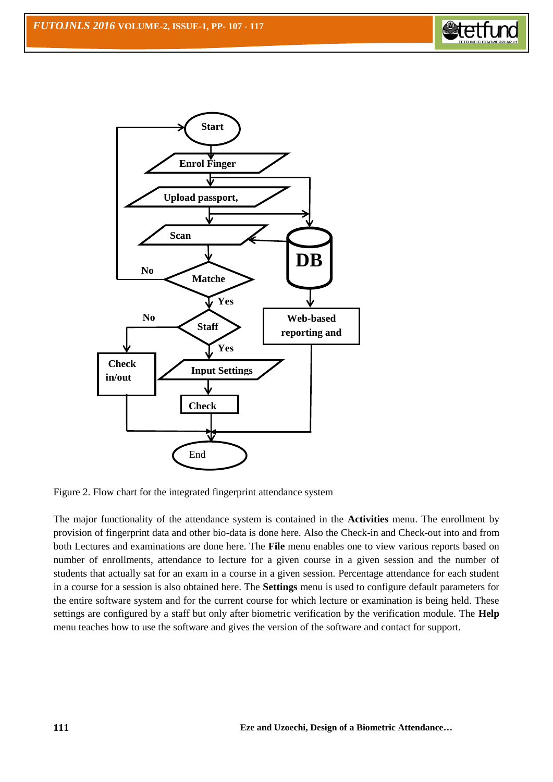



Figure 2. Flow chart for the integrated fingerprint attendance system

The major functionality of the attendance system is contained in the **Activities** menu. The enrollment by provision of fingerprint data and other bio-data is done here. Also the Check-in and Check-out into and from both Lectures and examinations are done here. The **File** menu enables one to view various reports based on number of enrollments, attendance to lecture for a given course in a given session and the number of students that actually sat for an exam in a course in a given session. Percentage attendance for each student in a course for a session is also obtained here. The **Settings** menu is used to configure default parameters for the entire software system and for the current course for which lecture or examination is being held. These settings are configured by a staff but only after biometric verification by the verification module. The **Help** menu teaches how to use the software and gives the version of the software and contact for support.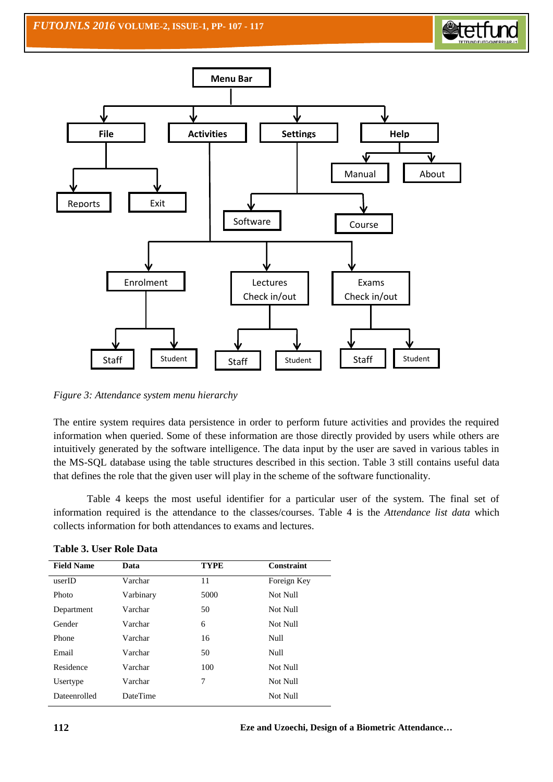



*Figure 3: Attendance system menu hierarchy*

The entire system requires data persistence in order to perform future activities and provides the required information when queried. Some of these information are those directly provided by users while others are intuitively generated by the software intelligence. The data input by the user are saved in various tables in the MS-SQL database using the table structures described in this section. Table 3 still contains useful data that defines the role that the given user will play in the scheme of the software functionality.

Table 4 keeps the most useful identifier for a particular user of the system. The final set of information required is the attendance to the classes/courses. Table 4 is the *Attendance list data* which collects information for both attendances to exams and lectures.

| Data            | <b>TYPE</b> | <b>Constraint</b> |
|-----------------|-------------|-------------------|
| Varchar         | 11          | Foreign Key       |
| Varbinary       | 5000        | Not Null          |
| Varchar         | 50          | Not Null          |
| Varchar         | 6           | Not Null          |
| Varchar         | 16          | Null              |
| Varchar         | 50          | Null              |
| Varchar         | 100         | Not Null          |
| Varchar         | 7           | Not Null          |
| <b>DateTime</b> |             | Not Null          |
|                 |             |                   |

**Table 3. User Role Data**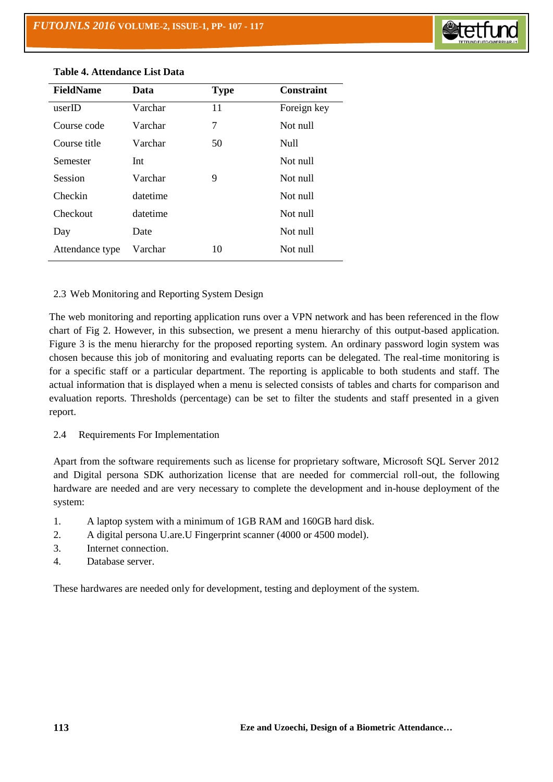

| <b>FieldName</b> | Data     | <b>Type</b> | <b>Constraint</b> |
|------------------|----------|-------------|-------------------|
| userID           | Varchar  | 11          | Foreign key       |
| Course code      | Varchar  | 7           | Not null          |
| Course title     | Varchar  | 50          | Null              |
| Semester         | Int      |             | Not null          |
| Session          | Varchar  | 9           | Not null          |
| Checkin          | datetime |             | Not null          |
| Checkout         | datetime |             | Not null          |
| Day              | Date     |             | Not null          |
| Attendance type  | Varchar  | 10          | Not null          |

## **Table 4. Attendance List Data**

## 2.3 Web Monitoring and Reporting System Design

The web monitoring and reporting application runs over a VPN network and has been referenced in the flow chart of Fig 2. However, in this subsection, we present a menu hierarchy of this output-based application. Figure 3 is the menu hierarchy for the proposed reporting system. An ordinary password login system was chosen because this job of monitoring and evaluating reports can be delegated. The real-time monitoring is for a specific staff or a particular department. The reporting is applicable to both students and staff. The actual information that is displayed when a menu is selected consists of tables and charts for comparison and evaluation reports. Thresholds (percentage) can be set to filter the students and staff presented in a given report.

## 2.4 Requirements For Implementation

Apart from the software requirements such as license for proprietary software, Microsoft SQL Server 2012 and Digital persona SDK authorization license that are needed for commercial roll-out, the following hardware are needed and are very necessary to complete the development and in-house deployment of the system:

- 1. A laptop system with a minimum of 1GB RAM and 160GB hard disk.
- 2. A digital persona U.are.U Fingerprint scanner (4000 or 4500 model).
- 3. Internet connection.
- 4. Database server.

These hardwares are needed only for development, testing and deployment of the system.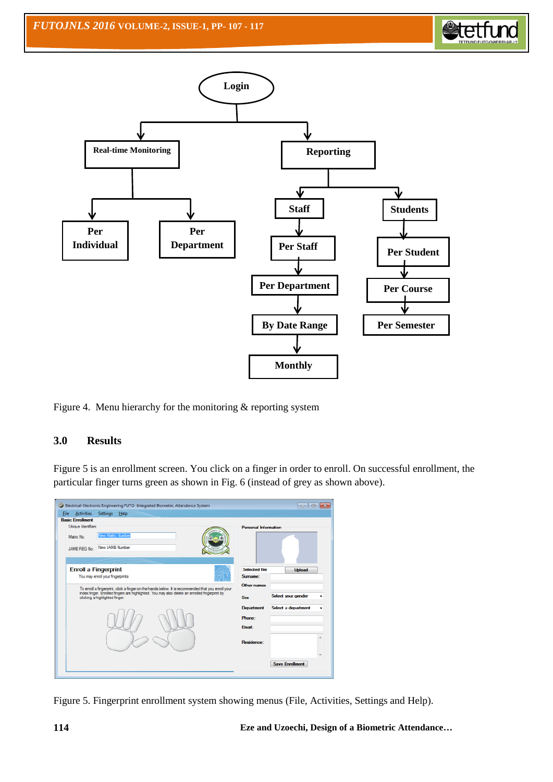



Figure 4. Menu hierarchy for the monitoring & reporting system

# **3.0 Results**

Figure 5 is an enrollment screen. You click on a finger in order to enroll. On successful enrollment, the particular finger turns green as shown in Fig. 6 (instead of grey as shown above).

| <b>Eile</b><br><b>Activities</b><br>Settings<br>Help<br><b>Basic Enrollment</b>                                                                                                                                                        |                                                 |                                           |
|----------------------------------------------------------------------------------------------------------------------------------------------------------------------------------------------------------------------------------------|-------------------------------------------------|-------------------------------------------|
| Unique Identifiers<br>New Matric Number<br>Matric No<br>New JAMB Number<br><b>JAMB REG No:</b>                                                                                                                                         | <b>Personal Information</b>                     |                                           |
| <b>Enroll a Fingerprint</b><br>You may enroll your fingerprints                                                                                                                                                                        | <b>Selected file</b><br>Surname:<br>Other names | Upload                                    |
| To enroll a fingerprint, click a finger on the hands below. It is recommended that you enroll your<br>index finger. Enrolled fingers are highlighted. You may also delete an enrolled fingerprint by<br>clicking a highlighted finger. | Sex<br><b>Department</b>                        | Select your gender<br>Select a department |
|                                                                                                                                                                                                                                        | Phone:<br><b>Email:</b>                         |                                           |
|                                                                                                                                                                                                                                        | Residence:                                      |                                           |
|                                                                                                                                                                                                                                        |                                                 | <b>Save Enrollment</b>                    |

Figure 5. Fingerprint enrollment system showing menus (File, Activities, Settings and Help).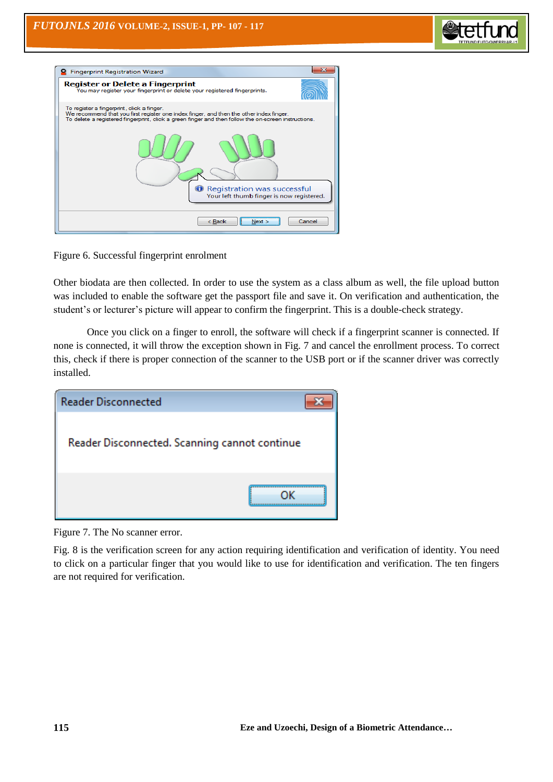

| <b>Fingerprint Registration Wizard</b>                                                                                                                                                                                                        |        |
|-----------------------------------------------------------------------------------------------------------------------------------------------------------------------------------------------------------------------------------------------|--------|
| <b>Register or Delete a Fingerprint</b><br>You may register your fingerprint or delete your registered fingerprints.                                                                                                                          |        |
| To register a fingerprint, click a finger.<br>We recommend that you first register one index finger, and then the other index finger.<br>To delete a registered fingerprint, click a green finger and then follow the on-screen instructions. |        |
| <b>O</b> Registration was successful<br>Your left thumb finger is now registered.                                                                                                                                                             |        |
| $<$ Back<br>New >                                                                                                                                                                                                                             | Cancel |

Figure 6. Successful fingerprint enrolment

Other biodata are then collected. In order to use the system as a class album as well, the file upload button was included to enable the software get the passport file and save it. On verification and authentication, the student's or lecturer's picture will appear to confirm the fingerprint. This is a double-check strategy.

Once you click on a finger to enroll, the software will check if a fingerprint scanner is connected. If none is connected, it will throw the exception shown in Fig. 7 and cancel the enrollment process. To correct this, check if there is proper connection of the scanner to the USB port or if the scanner driver was correctly installed.

| <b>Reader Disconnected</b>                    |  |
|-----------------------------------------------|--|
| Reader Disconnected. Scanning cannot continue |  |
| ΩK                                            |  |

Figure 7. The No scanner error.

Fig. 8 is the verification screen for any action requiring identification and verification of identity. You need to click on a particular finger that you would like to use for identification and verification. The ten fingers are not required for verification.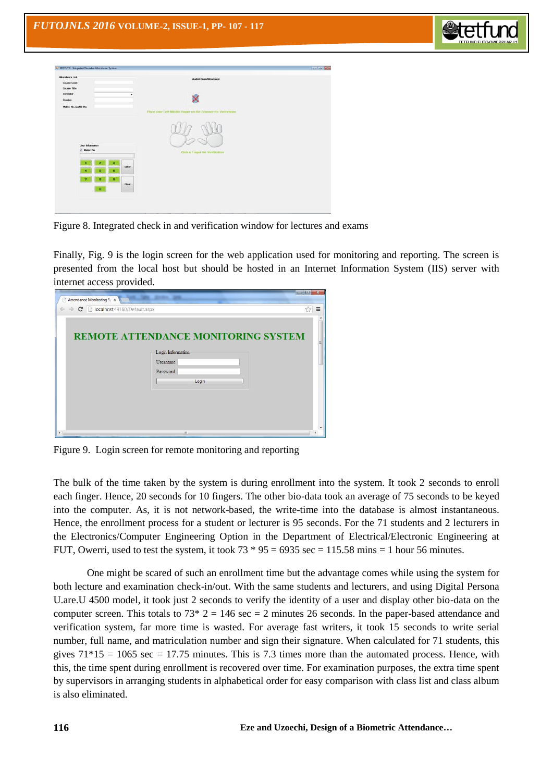

| # EEE FUTO - Sitegrated Giometric Attendance System<br><b>Attendance Ltd.</b><br>Course Code | studentExamAttendance                                         | <b>For the later</b> |
|----------------------------------------------------------------------------------------------|---------------------------------------------------------------|----------------------|
| Course Title<br>Semester<br>٠<br>Semion<br>Matric No./JAMB No.                               | Place your Left Middle Finger on the Scanner for Verification |                      |
| User Information<br>V Matric No.                                                             | <b>Click a Finger for Verification</b>                        |                      |
| $\overline{a}$<br>a<br>Enter<br>5<br>6<br>٠                                                  |                                                               |                      |
| $\overline{\mathbf{a}}$<br>e.<br>7<br>Coar<br>$\bullet$                                      |                                                               |                      |

Figure 8. Integrated check in and verification window for lectures and exams

Finally, Fig. 9 is the login screen for the web application used for monitoring and reporting. The screen is presented from the local host but should be hosted in an Internet Information System (IIS) server with internet access provided.

| Attendance Monitoring Sy x                                    |                                            |    |
|---------------------------------------------------------------|--------------------------------------------|----|
| C Diocalhost:49160/Default.aspx<br>$\leftarrow$ $\rightarrow$ |                                            | 52 |
|                                                               |                                            |    |
|                                                               |                                            |    |
|                                                               | <b>REMOTE ATTENDANCE MONITORING SYSTEM</b> |    |
|                                                               | Login Information                          |    |
|                                                               | Username                                   |    |
|                                                               | Password                                   |    |
|                                                               | Login                                      |    |
|                                                               |                                            |    |
|                                                               |                                            |    |
|                                                               |                                            |    |
|                                                               |                                            |    |
|                                                               |                                            |    |

Figure 9. Login screen for remote monitoring and reporting

The bulk of the time taken by the system is during enrollment into the system. It took 2 seconds to enroll each finger. Hence, 20 seconds for 10 fingers. The other bio-data took an average of 75 seconds to be keyed into the computer. As, it is not network-based, the write-time into the database is almost instantaneous. Hence, the enrollment process for a student or lecturer is 95 seconds. For the 71 students and 2 lecturers in the Electronics/Computer Engineering Option in the Department of Electrical/Electronic Engineering at FUT, Owerri, used to test the system, it took  $73 * 95 = 6935$  sec = 115.58 mins = 1 hour 56 minutes.

One might be scared of such an enrollment time but the advantage comes while using the system for both lecture and examination check-in/out. With the same students and lecturers, and using Digital Persona U.are.U 4500 model, it took just 2 seconds to verify the identity of a user and display other bio-data on the computer screen. This totals to  $73*2 = 146 \text{ sec} = 2$  minutes 26 seconds. In the paper-based attendance and verification system, far more time is wasted. For average fast writers, it took 15 seconds to write serial number, full name, and matriculation number and sign their signature. When calculated for 71 students, this gives  $71*15 = 1065$  sec = 17.75 minutes. This is 7.3 times more than the automated process. Hence, with this, the time spent during enrollment is recovered over time. For examination purposes, the extra time spent by supervisors in arranging students in alphabetical order for easy comparison with class list and class album is also eliminated.